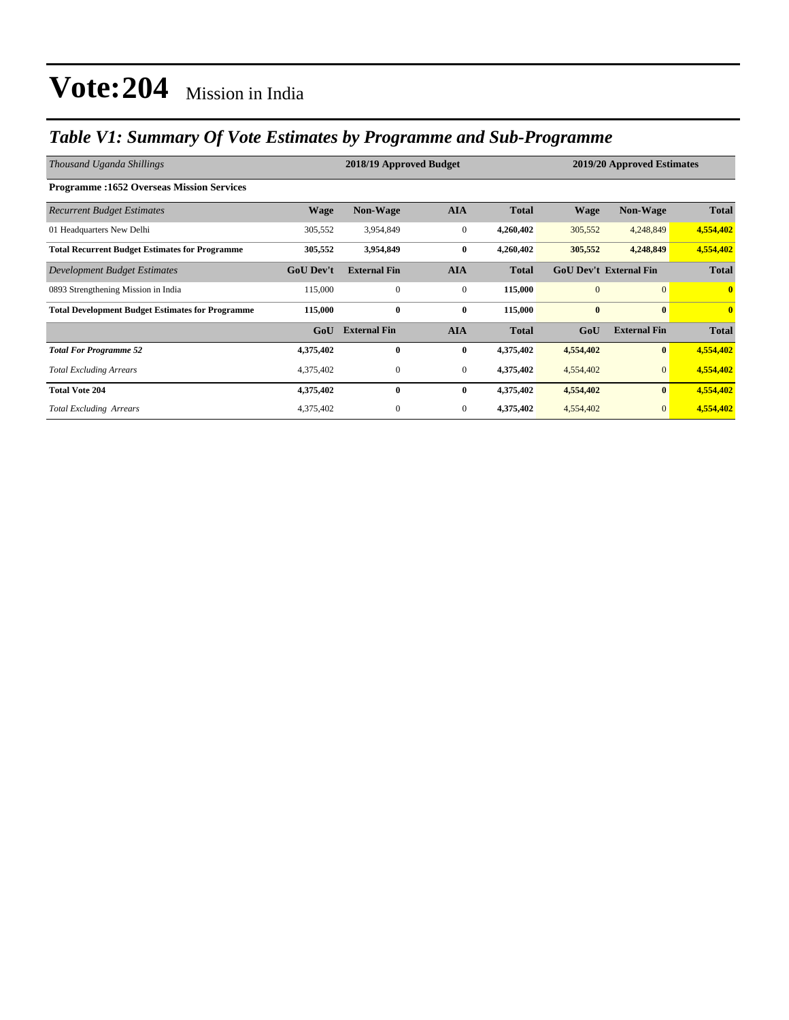## *Table V1: Summary Of Vote Estimates by Programme and Sub-Programme*

| Thousand Uganda Shillings                               |                  | 2018/19 Approved Budget |                  | 2019/20 Approved Estimates |                               |                     |                         |
|---------------------------------------------------------|------------------|-------------------------|------------------|----------------------------|-------------------------------|---------------------|-------------------------|
| <b>Programme:1652 Overseas Mission Services</b>         |                  |                         |                  |                            |                               |                     |                         |
| <b>Recurrent Budget Estimates</b>                       | <b>Wage</b>      | <b>Non-Wage</b>         | <b>AIA</b>       | <b>Total</b>               | <b>Wage</b>                   | <b>Non-Wage</b>     | <b>Total</b>            |
| 01 Headquarters New Delhi                               | 305,552          | 3,954,849               | $\boldsymbol{0}$ | 4,260,402                  | 305,552                       | 4,248,849           | 4,554,402               |
| <b>Total Recurrent Budget Estimates for Programme</b>   | 305,552          | 3,954,849               | $\bf{0}$         | 4,260,402                  | 305,552                       | 4,248,849           | 4,554,402               |
| Development Budget Estimates                            | <b>GoU</b> Dev't | <b>External Fin</b>     | <b>AIA</b>       | <b>Total</b>               | <b>GoU Dev't External Fin</b> |                     | <b>Total</b>            |
| 0893 Strengthening Mission in India                     | 115,000          | $\mathbf{0}$            | $\mathbf{0}$     | 115,000                    | $\overline{0}$                | $\mathbf{0}$        | $\mathbf{0}$            |
| <b>Total Development Budget Estimates for Programme</b> | 115,000          | $\bf{0}$                | $\bf{0}$         | 115,000                    | $\bf{0}$                      | $\bf{0}$            | $\overline{\mathbf{0}}$ |
|                                                         | GoU              | <b>External Fin</b>     | <b>AIA</b>       | <b>Total</b>               | GoU                           | <b>External Fin</b> | <b>Total</b>            |
| <b>Total For Programme 52</b>                           | 4,375,402        | $\bf{0}$                | $\bf{0}$         | 4,375,402                  | 4,554,402                     | $\bf{0}$            | 4,554,402               |
| <b>Total Excluding Arrears</b>                          | 4,375,402        | $\boldsymbol{0}$        | $\mathbf{0}$     | 4,375,402                  | 4,554,402                     | $\mathbf{0}$        | 4,554,402               |
| <b>Total Vote 204</b>                                   | 4,375,402        | $\bf{0}$                | $\bf{0}$         | 4,375,402                  | 4,554,402                     | $\bf{0}$            | 4,554,402               |
| <b>Total Excluding Arrears</b>                          | 4,375,402        | $\mathbf{0}$            | $\mathbf{0}$     | 4,375,402                  | 4,554,402                     | $\mathbf{0}$        | 4,554,402               |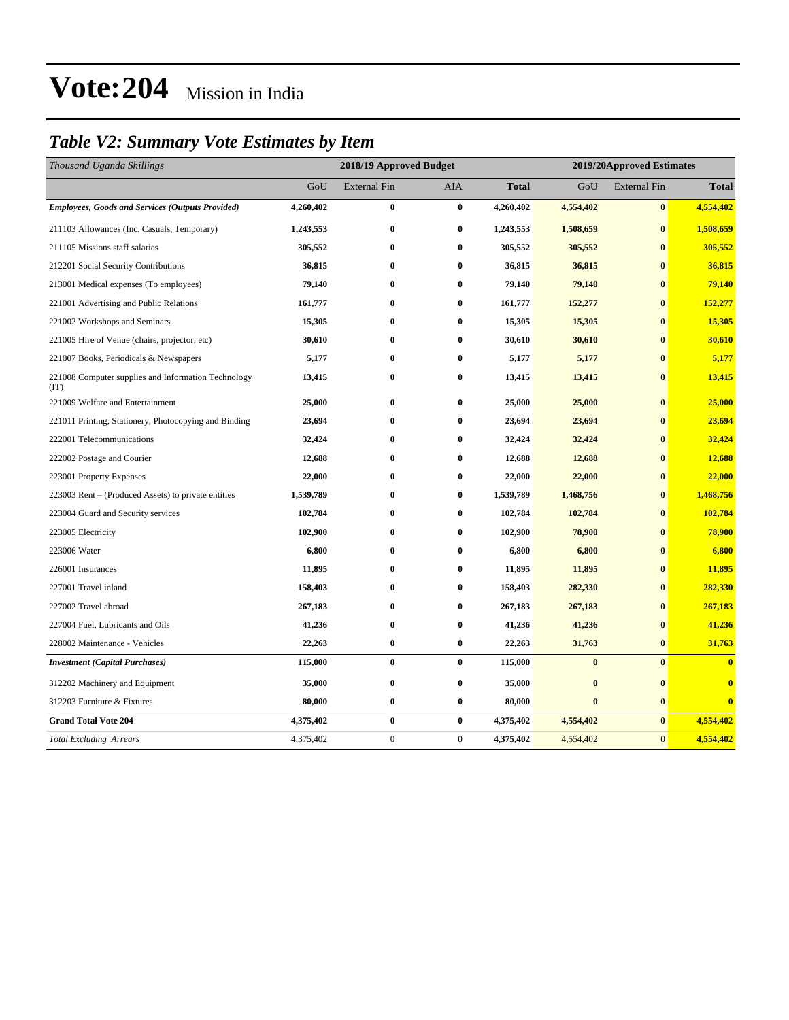# **Vote:204** Mission in India

## *Table V2: Summary Vote Estimates by Item*

| Thousand Uganda Shillings                                   |           | 2018/19 Approved Budget |              |              |           | 2019/20Approved Estimates |                         |  |  |
|-------------------------------------------------------------|-----------|-------------------------|--------------|--------------|-----------|---------------------------|-------------------------|--|--|
|                                                             | GoU       | <b>External Fin</b>     | <b>AIA</b>   | <b>Total</b> | GoU       | <b>External Fin</b>       | <b>Total</b>            |  |  |
| <b>Employees, Goods and Services (Outputs Provided)</b>     | 4,260,402 | $\bf{0}$                | $\bf{0}$     | 4,260,402    | 4,554,402 | $\bf{0}$                  | 4,554,402               |  |  |
| 211103 Allowances (Inc. Casuals, Temporary)                 | 1,243,553 | $\bf{0}$                | $\bf{0}$     | 1,243,553    | 1,508,659 | $\bf{0}$                  | 1,508,659               |  |  |
| 211105 Missions staff salaries                              | 305,552   | $\bf{0}$                | $\bf{0}$     | 305,552      | 305,552   | $\bf{0}$                  | 305,552                 |  |  |
| 212201 Social Security Contributions                        | 36,815    | $\bf{0}$                | $\bf{0}$     | 36,815       | 36,815    | $\bf{0}$                  | 36,815                  |  |  |
| 213001 Medical expenses (To employees)                      | 79,140    | $\bf{0}$                | $\bf{0}$     | 79,140       | 79,140    | $\bf{0}$                  | 79,140                  |  |  |
| 221001 Advertising and Public Relations                     | 161,777   | $\bf{0}$                | $\bf{0}$     | 161,777      | 152,277   | $\bf{0}$                  | 152,277                 |  |  |
| 221002 Workshops and Seminars                               | 15,305    | $\bf{0}$                | $\bf{0}$     | 15,305       | 15,305    | $\bf{0}$                  | 15,305                  |  |  |
| 221005 Hire of Venue (chairs, projector, etc)               | 30,610    | $\bf{0}$                | $\bf{0}$     | 30,610       | 30,610    | $\bf{0}$                  | 30,610                  |  |  |
| 221007 Books, Periodicals & Newspapers                      | 5,177     | $\bf{0}$                | $\bf{0}$     | 5,177        | 5,177     | $\bf{0}$                  | 5,177                   |  |  |
| 221008 Computer supplies and Information Technology<br>(TT) | 13,415    | $\bf{0}$                | $\bf{0}$     | 13,415       | 13,415    | $\bf{0}$                  | 13,415                  |  |  |
| 221009 Welfare and Entertainment                            | 25,000    | $\bf{0}$                | $\bf{0}$     | 25,000       | 25,000    | $\bf{0}$                  | 25,000                  |  |  |
| 221011 Printing, Stationery, Photocopying and Binding       | 23,694    | $\bf{0}$                | $\bf{0}$     | 23,694       | 23,694    | $\bf{0}$                  | 23,694                  |  |  |
| 222001 Telecommunications                                   | 32,424    | $\bf{0}$                | $\bf{0}$     | 32,424       | 32,424    | $\bf{0}$                  | 32,424                  |  |  |
| 222002 Postage and Courier                                  | 12,688    | $\bf{0}$                | $\bf{0}$     | 12,688       | 12,688    | $\bf{0}$                  | 12,688                  |  |  |
| 223001 Property Expenses                                    | 22,000    | $\bf{0}$                | $\bf{0}$     | 22,000       | 22,000    | $\bf{0}$                  | 22,000                  |  |  |
| 223003 Rent - (Produced Assets) to private entities         | 1,539,789 | $\bf{0}$                | $\bf{0}$     | 1,539,789    | 1,468,756 | $\bf{0}$                  | 1,468,756               |  |  |
| 223004 Guard and Security services                          | 102,784   | $\bf{0}$                | $\bf{0}$     | 102,784      | 102,784   | $\bf{0}$                  | 102,784                 |  |  |
| 223005 Electricity                                          | 102,900   | $\bf{0}$                | $\bf{0}$     | 102,900      | 78,900    | $\bf{0}$                  | 78,900                  |  |  |
| 223006 Water                                                | 6,800     | $\bf{0}$                | $\bf{0}$     | 6,800        | 6,800     | $\bf{0}$                  | 6,800                   |  |  |
| 226001 Insurances                                           | 11,895    | $\bf{0}$                | $\bf{0}$     | 11,895       | 11,895    | $\bf{0}$                  | 11,895                  |  |  |
| 227001 Travel inland                                        | 158,403   | $\bf{0}$                | $\bf{0}$     | 158,403      | 282,330   | $\bf{0}$                  | 282,330                 |  |  |
| 227002 Travel abroad                                        | 267,183   | $\bf{0}$                | $\bf{0}$     | 267,183      | 267,183   | $\bf{0}$                  | 267,183                 |  |  |
| 227004 Fuel, Lubricants and Oils                            | 41,236    | $\bf{0}$                | $\bf{0}$     | 41,236       | 41,236    | $\bf{0}$                  | 41,236                  |  |  |
| 228002 Maintenance - Vehicles                               | 22,263    | $\bf{0}$                | $\bf{0}$     | 22,263       | 31,763    | $\bf{0}$                  | 31,763                  |  |  |
| <b>Investment</b> (Capital Purchases)                       | 115,000   | $\bf{0}$                | $\bf{0}$     | 115,000      | $\bf{0}$  | $\bf{0}$                  | $\overline{\mathbf{0}}$ |  |  |
| 312202 Machinery and Equipment                              | 35,000    | $\bf{0}$                | $\bf{0}$     | 35,000       | $\bf{0}$  | $\bf{0}$                  | $\overline{\mathbf{0}}$ |  |  |
| 312203 Furniture & Fixtures                                 | 80,000    | $\bf{0}$                | $\bf{0}$     | 80,000       | $\bf{0}$  | $\bf{0}$                  | $\bf{0}$                |  |  |
| <b>Grand Total Vote 204</b>                                 | 4,375,402 | $\bf{0}$                | $\bf{0}$     | 4,375,402    | 4,554,402 | $\bf{0}$                  | 4,554,402               |  |  |
| <b>Total Excluding Arrears</b>                              | 4,375,402 | $\boldsymbol{0}$        | $\mathbf{0}$ | 4,375,402    | 4,554,402 | $\mathbf{0}$              | 4,554,402               |  |  |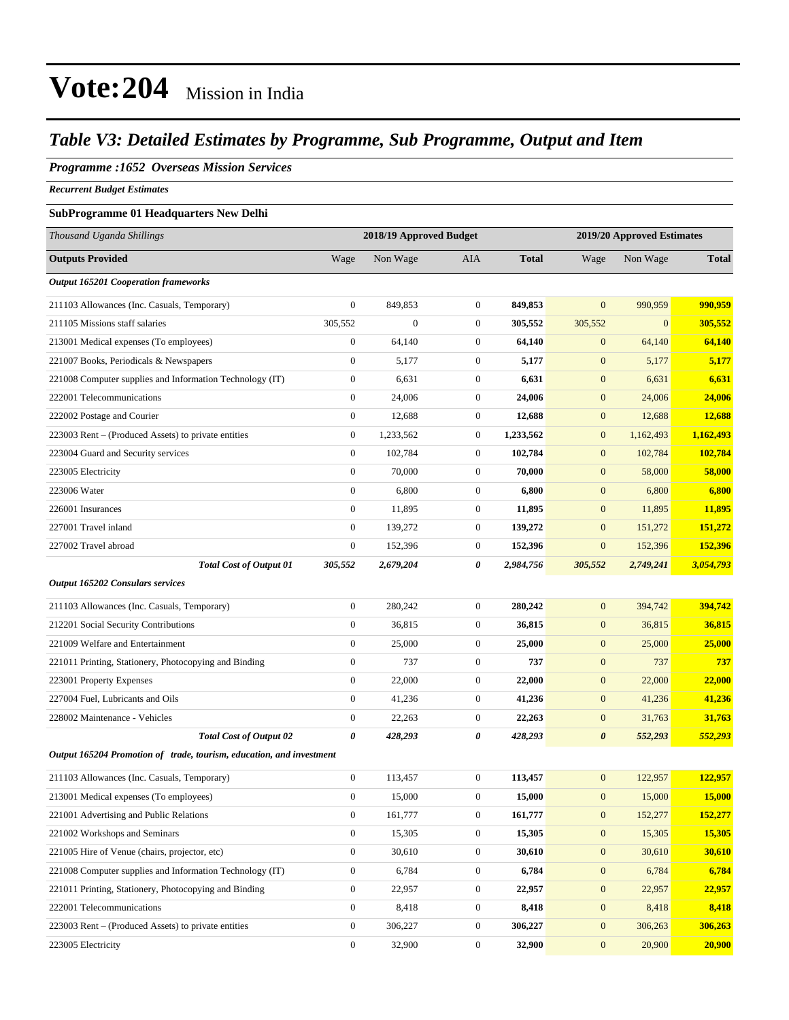### *Table V3: Detailed Estimates by Programme, Sub Programme, Output and Item*

### *Programme :1652 Overseas Mission Services*

*Recurrent Budget Estimates*

#### **SubProgramme 01 Headquarters New Delhi**

| Thousand Uganda Shillings                                            | 2018/19 Approved Budget |                |                  | 2019/20 Approved Estimates |                       |                |              |
|----------------------------------------------------------------------|-------------------------|----------------|------------------|----------------------------|-----------------------|----------------|--------------|
| <b>Outputs Provided</b>                                              | Wage                    | Non Wage       | AIA              | <b>Total</b>               | Wage                  | Non Wage       | <b>Total</b> |
| <b>Output 165201 Cooperation frameworks</b>                          |                         |                |                  |                            |                       |                |              |
| 211103 Allowances (Inc. Casuals, Temporary)                          | $\mathbf{0}$            | 849,853        | $\boldsymbol{0}$ | 849,853                    | $\overline{0}$        | 990,959        | 990,959      |
| 211105 Missions staff salaries                                       | 305,552                 | $\overline{0}$ | $\boldsymbol{0}$ | 305,552                    | 305,552               | $\overline{0}$ | 305,552      |
| 213001 Medical expenses (To employees)                               | $\boldsymbol{0}$        | 64,140         | $\boldsymbol{0}$ | 64,140                     | $\mathbf{0}$          | 64,140         | 64,140       |
| 221007 Books, Periodicals & Newspapers                               | $\boldsymbol{0}$        | 5,177          | $\boldsymbol{0}$ | 5,177                      | $\boldsymbol{0}$      | 5,177          | 5,177        |
| 221008 Computer supplies and Information Technology (IT)             | $\boldsymbol{0}$        | 6,631          | $\boldsymbol{0}$ | 6,631                      | $\mathbf{0}$          | 6,631          | 6,631        |
| 222001 Telecommunications                                            | $\boldsymbol{0}$        | 24,006         | $\boldsymbol{0}$ | 24,006                     | $\boldsymbol{0}$      | 24,006         | 24,006       |
| 222002 Postage and Courier                                           | $\boldsymbol{0}$        | 12,688         | $\boldsymbol{0}$ | 12,688                     | $\boldsymbol{0}$      | 12,688         | 12,688       |
| 223003 Rent – (Produced Assets) to private entities                  | $\boldsymbol{0}$        | 1,233,562      | $\boldsymbol{0}$ | 1,233,562                  | $\mathbf{0}$          | 1,162,493      | 1,162,493    |
| 223004 Guard and Security services                                   | $\boldsymbol{0}$        | 102,784        | $\boldsymbol{0}$ | 102,784                    | $\mathbf{0}$          | 102,784        | 102,784      |
| 223005 Electricity                                                   | $\boldsymbol{0}$        | 70,000         | $\boldsymbol{0}$ | 70,000                     | $\mathbf{0}$          | 58,000         | 58,000       |
| 223006 Water                                                         | $\boldsymbol{0}$        | 6,800          | $\boldsymbol{0}$ | 6,800                      | $\boldsymbol{0}$      | 6,800          | 6,800        |
| 226001 Insurances                                                    | $\boldsymbol{0}$        | 11,895         | $\boldsymbol{0}$ | 11,895                     | $\boldsymbol{0}$      | 11,895         | 11,895       |
| 227001 Travel inland                                                 | $\boldsymbol{0}$        | 139,272        | $\boldsymbol{0}$ | 139,272                    | $\mathbf{0}$          | 151,272        | 151,272      |
| 227002 Travel abroad                                                 | $\boldsymbol{0}$        | 152,396        | $\boldsymbol{0}$ | 152,396                    | $\boldsymbol{0}$      | 152,396        | 152,396      |
| <b>Total Cost of Output 01</b>                                       | 305,552                 | 2,679,204      | 0                | 2,984,756                  | 305,552               | 2,749,241      | 3,054,793    |
| Output 165202 Consulars services                                     |                         |                |                  |                            |                       |                |              |
| 211103 Allowances (Inc. Casuals, Temporary)                          | $\boldsymbol{0}$        | 280,242        | $\boldsymbol{0}$ | 280,242                    | $\boldsymbol{0}$      | 394,742        | 394,742      |
| 212201 Social Security Contributions                                 | $\boldsymbol{0}$        | 36,815         | $\boldsymbol{0}$ | 36,815                     | $\boldsymbol{0}$      | 36,815         | 36,815       |
| 221009 Welfare and Entertainment                                     | $\boldsymbol{0}$        | 25,000         | $\boldsymbol{0}$ | 25,000                     | $\mathbf{0}$          | 25,000         | 25,000       |
| 221011 Printing, Stationery, Photocopying and Binding                | $\boldsymbol{0}$        | 737            | $\boldsymbol{0}$ | 737                        | $\mathbf{0}$          | 737            | 737          |
| 223001 Property Expenses                                             | $\boldsymbol{0}$        | 22,000         | $\boldsymbol{0}$ | 22,000                     | $\mathbf{0}$          | 22,000         | 22,000       |
| 227004 Fuel, Lubricants and Oils                                     | $\boldsymbol{0}$        | 41,236         | $\boldsymbol{0}$ | 41,236                     | $\boldsymbol{0}$      | 41,236         | 41,236       |
| 228002 Maintenance - Vehicles                                        | $\boldsymbol{0}$        | 22,263         | $\boldsymbol{0}$ | 22,263                     | $\boldsymbol{0}$      | 31,763         | 31,763       |
| <b>Total Cost of Output 02</b>                                       | 0                       | 428,293        | 0                | 428,293                    | $\boldsymbol{\theta}$ | 552,293        | 552,293      |
| Output 165204 Promotion of trade, tourism, education, and investment |                         |                |                  |                            |                       |                |              |
| 211103 Allowances (Inc. Casuals, Temporary)                          | $\overline{0}$          | 113,457        | $\boldsymbol{0}$ | 113,457                    | $\mathbf{0}$          | 122,957        | 122,957      |
| 213001 Medical expenses (To employees)                               | 0                       | 15,000         | $\boldsymbol{0}$ | 15,000                     | $\boldsymbol{0}$      | 15,000         | 15,000       |
| 221001 Advertising and Public Relations                              | $\mathbf{0}$            | 161,777        | 0                | 161,777                    | $\mathbf{0}$          | 152,277        | 152,277      |
| 221002 Workshops and Seminars                                        | $\boldsymbol{0}$        | 15,305         | $\boldsymbol{0}$ | 15,305                     | $\boldsymbol{0}$      | 15,305         | 15,305       |
| 221005 Hire of Venue (chairs, projector, etc)                        | $\boldsymbol{0}$        | 30,610         | $\boldsymbol{0}$ | 30,610                     | $\boldsymbol{0}$      | 30,610         | 30,610       |
| 221008 Computer supplies and Information Technology (IT)             | $\boldsymbol{0}$        | 6,784          | $\boldsymbol{0}$ | 6,784                      | $\mathbf{0}$          | 6,784          | 6,784        |
| 221011 Printing, Stationery, Photocopying and Binding                | $\boldsymbol{0}$        | 22,957         | 0                | 22,957                     | $\mathbf{0}$          | 22,957         | 22,957       |
| 222001 Telecommunications                                            | $\boldsymbol{0}$        | 8,418          | $\boldsymbol{0}$ | 8,418                      | $\mathbf{0}$          | 8,418          | 8,418        |
| 223003 Rent – (Produced Assets) to private entities                  | $\boldsymbol{0}$        | 306,227        | $\boldsymbol{0}$ | 306,227                    | $\boldsymbol{0}$      | 306,263        | 306,263      |
| 223005 Electricity                                                   | $\boldsymbol{0}$        | 32,900         | $\boldsymbol{0}$ | 32,900                     | $\mathbf{0}$          | 20,900         | 20,900       |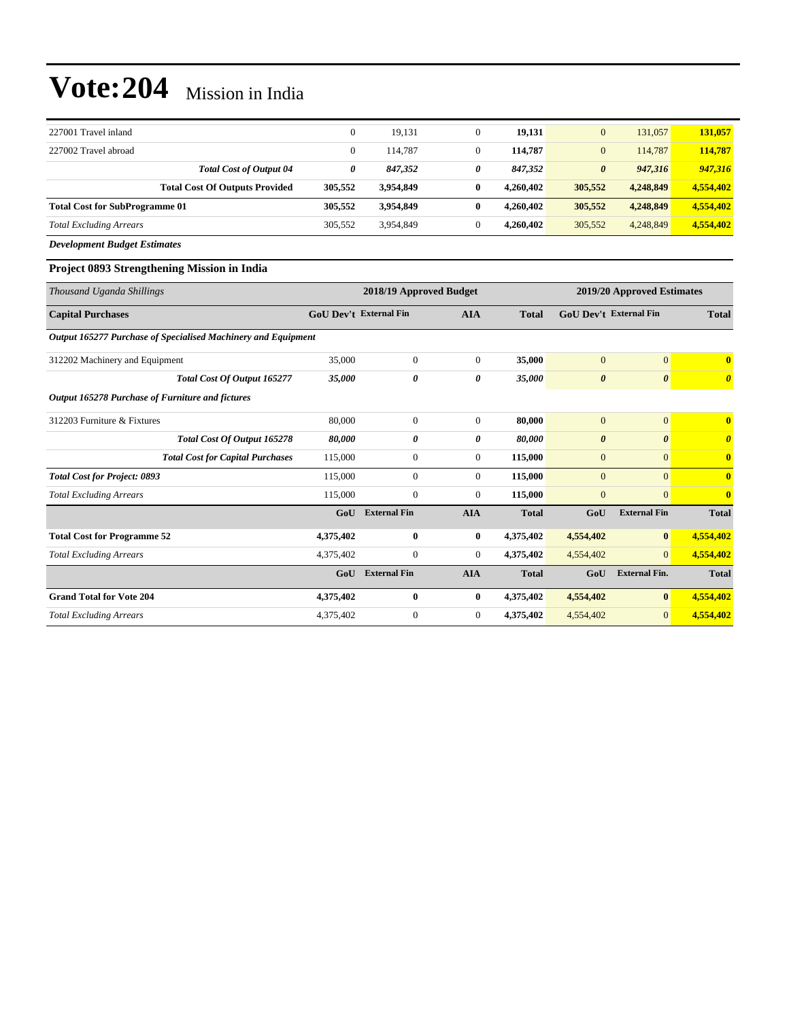## **Vote:204** Mission in India

| 227001 Travel inland                  |         | 19.131    | 19.131                    |                       | 131,057   | 131,057   |
|---------------------------------------|---------|-----------|---------------------------|-----------------------|-----------|-----------|
| 227002 Travel abroad                  |         | 114.787   | $\mathbf{0}$<br>114,787   | $\overline{0}$        | 114.787   | 114,787   |
| <b>Total Cost of Output 04</b>        | 0       | 847.352   | 0<br>847,352              | $\boldsymbol{\theta}$ | 947,316   | 947,316   |
| <b>Total Cost Of Outputs Provided</b> | 305,552 | 3.954.849 | $\bf{0}$<br>4.260.402     | 305,552               | 4.248.849 | 4,554,402 |
| <b>Total Cost for SubProgramme 01</b> | 305,552 | 3,954,849 | $\bf{0}$<br>4,260,402     | 305,552               | 4,248,849 | 4,554,402 |
| <b>Total Excluding Arrears</b>        | 305.552 | 3.954.849 | $\mathbf{0}$<br>4.260.402 | 305,552               | 4,248,849 | 4,554,402 |
|                                       |         |           |                           |                       |           |           |

*Development Budget Estimates*

#### **Project 0893 Strengthening Mission in India**

| Thousand Uganda Shillings                                     | 2018/19 Approved Budget       |                     |                |              | 2019/20 Approved Estimates    |                       |                         |  |
|---------------------------------------------------------------|-------------------------------|---------------------|----------------|--------------|-------------------------------|-----------------------|-------------------------|--|
| <b>Capital Purchases</b>                                      | <b>GoU Dev't External Fin</b> |                     | <b>AIA</b>     | <b>Total</b> | <b>GoU Dev't External Fin</b> |                       | <b>Total</b>            |  |
| Output 165277 Purchase of Specialised Machinery and Equipment |                               |                     |                |              |                               |                       |                         |  |
| 312202 Machinery and Equipment                                | 35,000                        | $\boldsymbol{0}$    | $\overline{0}$ | 35,000       | $\overline{0}$                | $\overline{0}$        | $\overline{\mathbf{0}}$ |  |
| Total Cost Of Output 165277                                   | 35,000                        | 0                   | 0              | 35,000       | $\boldsymbol{\theta}$         | $\boldsymbol{\theta}$ | $\boldsymbol{\theta}$   |  |
| Output 165278 Purchase of Furniture and fictures              |                               |                     |                |              |                               |                       |                         |  |
| 312203 Furniture & Fixtures                                   | 80,000                        | $\mathbf{0}$        | $\overline{0}$ | 80.000       | $\mathbf{0}$                  | $\overline{0}$        | $\overline{\mathbf{0}}$ |  |
| Total Cost Of Output 165278                                   | 80,000                        | 0                   | 0              | 80,000       | $\boldsymbol{\theta}$         | $\boldsymbol{\theta}$ | $\theta$                |  |
| <b>Total Cost for Capital Purchases</b>                       | 115,000                       | $\boldsymbol{0}$    | $\overline{0}$ | 115,000      | $\mathbf{0}$                  | $\overline{0}$        | $\overline{\mathbf{0}}$ |  |
| <b>Total Cost for Project: 0893</b>                           | 115,000                       | $\mathbf{0}$        | $\overline{0}$ | 115,000      | $\overline{0}$                | $\Omega$              | $\overline{\mathbf{0}}$ |  |
| <b>Total Excluding Arrears</b>                                | 115,000                       | $\boldsymbol{0}$    | $\overline{0}$ | 115,000      | $\mathbf{0}$                  | $\overline{0}$        | $\overline{\mathbf{0}}$ |  |
|                                                               | GoU                           | <b>External Fin</b> | <b>AIA</b>     | <b>Total</b> | GoU                           | <b>External Fin</b>   | <b>Total</b>            |  |
| <b>Total Cost for Programme 52</b>                            | 4,375,402                     | $\bf{0}$            | $\bf{0}$       | 4,375,402    | 4,554,402                     | $\mathbf{0}$          | 4,554,402               |  |
| <b>Total Excluding Arrears</b>                                | 4,375,402                     | $\boldsymbol{0}$    | $\overline{0}$ | 4,375,402    | 4,554,402                     | $\overline{0}$        | 4,554,402               |  |
|                                                               | GoU                           | <b>External Fin</b> | <b>AIA</b>     | <b>Total</b> | GoU                           | <b>External Fin.</b>  | <b>Total</b>            |  |
| <b>Grand Total for Vote 204</b>                               | 4,375,402                     | $\bf{0}$            | $\bf{0}$       | 4,375,402    | 4,554,402                     | $\mathbf{0}$          | 4,554,402               |  |
| <b>Total Excluding Arrears</b>                                | 4,375,402                     | $\mathbf{0}$        | $\overline{0}$ | 4,375,402    | 4,554,402                     | $\vert 0 \vert$       | 4,554,402               |  |